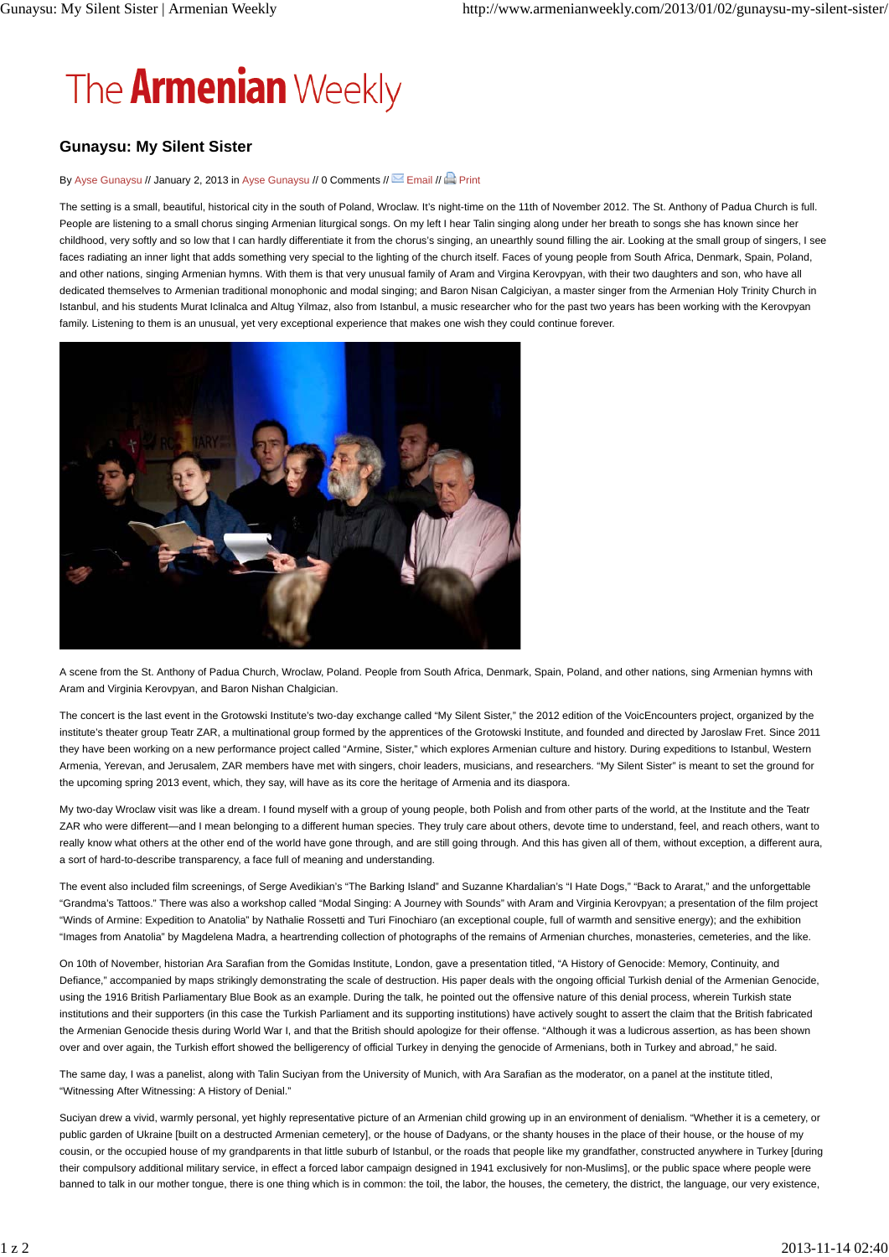## The **Armenian** Weekly

## **Gunaysu: My Silent Sister**

## By Ayse Gunaysu // January 2, 2013 in Ayse Gunaysu // 0 Comments // Semail // Print

The setting is a small, beautiful, historical city in the south of Poland, Wroclaw. It's night-time on the 11th of November 2012. The St. Anthony of Padua Church is full. People are listening to a small chorus singing Armenian liturgical songs. On my left I hear Talin singing along under her breath to songs she has known since her childhood, very softly and so low that I can hardly differentiate it from the chorus's singing, an unearthly sound filling the air. Looking at the small group of singers, I see faces radiating an inner light that adds something very special to the lighting of the church itself. Faces of young people from South Africa, Denmark, Spain, Poland, and other nations, singing Armenian hymns. With them is that very unusual family of Aram and Virgina Kerovpyan, with their two daughters and son, who have all dedicated themselves to Armenian traditional monophonic and modal singing; and Baron Nisan Calgiciyan, a master singer from the Armenian Holy Trinity Church in Istanbul, and his students Murat Iclinalca and Altug Yilmaz, also from Istanbul, a music researcher who for the past two years has been working with the Kerovpyan family. Listening to them is an unusual, yet very exceptional experience that makes one wish they could continue forever.



A scene from the St. Anthony of Padua Church, Wroclaw, Poland. People from South Africa, Denmark, Spain, Poland, and other nations, sing Armenian hymns with Aram and Virginia Kerovpyan, and Baron Nishan Chalgician.

The concert is the last event in the Grotowski Institute's two-day exchange called "My Silent Sister," the 2012 edition of the VoicEncounters project, organized by the institute's theater group Teatr ZAR, a multinational group formed by the apprentices of the Grotowski Institute, and founded and directed by Jaroslaw Fret. Since 2011 they have been working on a new performance project called "Armine, Sister," which explores Armenian culture and history. During expeditions to Istanbul, Western Armenia, Yerevan, and Jerusalem, ZAR members have met with singers, choir leaders, musicians, and researchers. "My Silent Sister" is meant to set the ground for the upcoming spring 2013 event, which, they say, will have as its core the heritage of Armenia and its diaspora.

My two-day Wroclaw visit was like a dream. I found myself with a group of young people, both Polish and from other parts of the world, at the Institute and the Teatr ZAR who were different—and I mean belonging to a different human species. They truly care about others, devote time to understand, feel, and reach others, want to really know what others at the other end of the world have gone through, and are still going through. And this has given all of them, without exception, a different aura, a sort of hard-to-describe transparency, a face full of meaning and understanding.

The event also included film screenings, of Serge Avedikian's "The Barking Island" and Suzanne Khardalian's "I Hate Dogs," "Back to Ararat," and the unforgettable "Grandma's Tattoos." There was also a workshop called "Modal Singing: A Journey with Sounds" with Aram and Virginia Kerovpyan; a presentation of the film project "Winds of Armine: Expedition to Anatolia" by Nathalie Rossetti and Turi Finochiaro (an exceptional couple, full of warmth and sensitive energy); and the exhibition "Images from Anatolia" by Magdelena Madra, a heartrending collection of photographs of the remains of Armenian churches, monasteries, cemeteries, and the like.

On 10th of November, historian Ara Sarafian from the Gomidas Institute, London, gave a presentation titled, "A History of Genocide: Memory, Continuity, and Defiance," accompanied by maps strikingly demonstrating the scale of destruction. His paper deals with the ongoing official Turkish denial of the Armenian Genocide, using the 1916 British Parliamentary Blue Book as an example. During the talk, he pointed out the offensive nature of this denial process, wherein Turkish state institutions and their supporters (in this case the Turkish Parliament and its supporting institutions) have actively sought to assert the claim that the British fabricated the Armenian Genocide thesis during World War I, and that the British should apologize for their offense. "Although it was a ludicrous assertion, as has been shown over and over again, the Turkish effort showed the belligerency of official Turkey in denying the genocide of Armenians, both in Turkey and abroad," he said.

The same day, I was a panelist, along with Talin Suciyan from the University of Munich, with Ara Sarafian as the moderator, on a panel at the institute titled, "Witnessing After Witnessing: A History of Denial."

Suciyan drew a vivid, warmly personal, yet highly representative picture of an Armenian child growing up in an environment of denialism. "Whether it is a cemetery, or public garden of Ukraine [built on a destructed Armenian cemetery], or the house of Dadyans, or the shanty houses in the place of their house, or the house of my cousin, or the occupied house of my grandparents in that little suburb of Istanbul, or the roads that people like my grandfather, constructed anywhere in Turkey [during their compulsory additional military service, in effect a forced labor campaign designed in 1941 exclusively for non-Muslims], or the public space where people were banned to talk in our mother tongue, there is one thing which is in common: the toil, the labor, the houses, the cemetery, the district, the language, our very existence,